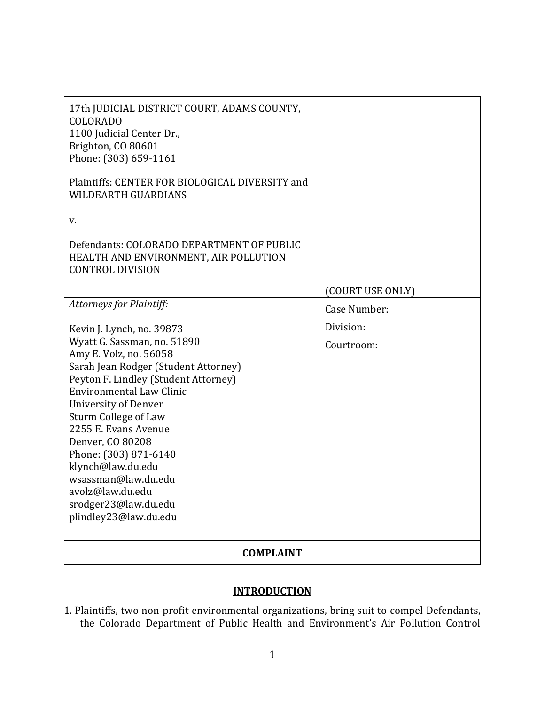| 17th JUDICIAL DISTRICT COURT, ADAMS COUNTY,<br><b>COLORADO</b><br>1100 Judicial Center Dr.,<br>Brighton, CO 80601<br>Phone: (303) 659-1161 |                  |
|--------------------------------------------------------------------------------------------------------------------------------------------|------------------|
| Plaintiffs: CENTER FOR BIOLOGICAL DIVERSITY and<br><b>WILDEARTH GUARDIANS</b>                                                              |                  |
| v.                                                                                                                                         |                  |
| Defendants: COLORADO DEPARTMENT OF PUBLIC<br>HEALTH AND ENVIRONMENT, AIR POLLUTION<br><b>CONTROL DIVISION</b>                              |                  |
|                                                                                                                                            | (COURT USE ONLY) |
| <b>Attorneys for Plaintiff:</b>                                                                                                            | Case Number:     |
| Kevin J. Lynch, no. 39873                                                                                                                  | Division:        |
| Wyatt G. Sassman, no. 51890                                                                                                                | Courtroom:       |
| Amy E. Volz, no. 56058                                                                                                                     |                  |
| Sarah Jean Rodger (Student Attorney)                                                                                                       |                  |
| Peyton F. Lindley (Student Attorney)                                                                                                       |                  |
| <b>Environmental Law Clinic</b>                                                                                                            |                  |
| <b>University of Denver</b>                                                                                                                |                  |
| Sturm College of Law                                                                                                                       |                  |
| 2255 E. Evans Avenue                                                                                                                       |                  |
| Denver, CO 80208                                                                                                                           |                  |
| Phone: (303) 871-6140<br>klynch@law.du.edu                                                                                                 |                  |
| wsassman@law.du.edu                                                                                                                        |                  |
| avolz@law.du.edu                                                                                                                           |                  |
| srodger23@law.du.edu                                                                                                                       |                  |
| plindley23@law.du.edu                                                                                                                      |                  |
|                                                                                                                                            |                  |
| <b>COMPLAINT</b>                                                                                                                           |                  |

# **INTRODUCTION**

1. Plaintiffs, two non-profit environmental organizations, bring suit to compel Defendants, the Colorado Department of Public Health and Environment's Air Pollution Control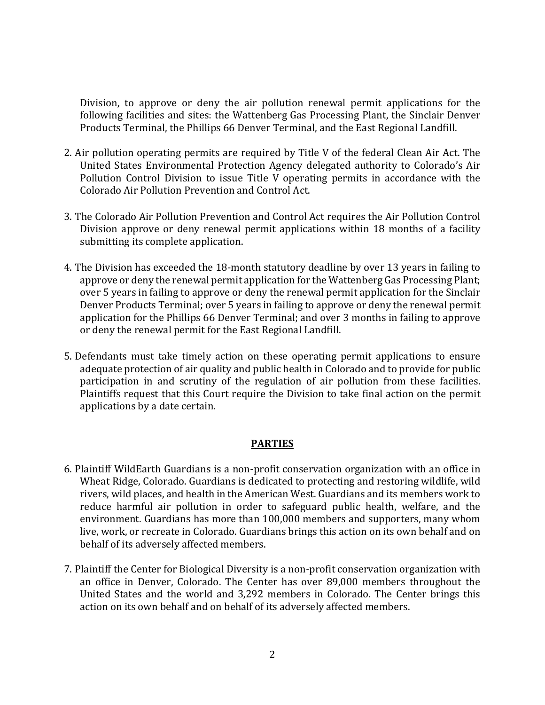Division, to approve or deny the air pollution renewal permit applications for the following facilities and sites: the Wattenberg Gas Processing Plant, the Sinclair Denver Products Terminal, the Phillips 66 Denver Terminal, and the East Regional Landfill.

- 2. Air pollution operating permits are required by Title V of the federal Clean Air Act. The United States Environmental Protection Agency delegated authority to Colorado's Air Pollution Control Division to issue Title V operating permits in accordance with the Colorado Air Pollution Prevention and Control Act.
- 3. The Colorado Air Pollution Prevention and Control Act requires the Air Pollution Control Division approve or deny renewal permit applications within 18 months of a facility submitting its complete application.
- 4. The Division has exceeded the 18-month statutory deadline by over 13 years in failing to approve or deny the renewal permit application for the Wattenberg Gas Processing Plant; over 5 years in failing to approve or deny the renewal permit application for the Sinclair Denver Products Terminal; over 5 years in failing to approve or deny the renewal permit application for the Phillips 66 Denver Terminal; and over 3 months in failing to approve or deny the renewal permit for the East Regional Landfill.
- 5. Defendants must take timely action on these operating permit applications to ensure adequate protection of air quality and public health in Colorado and to provide for public participation in and scrutiny of the regulation of air pollution from these facilities. Plaintiffs request that this Court require the Division to take final action on the permit applications by a date certain.

### **PARTIES**

- 6. Plaintiff WildEarth Guardians is a non-profit conservation organization with an office in Wheat Ridge, Colorado. Guardians is dedicated to protecting and restoring wildlife, wild rivers, wild places, and health in the American West. Guardians and its members work to reduce harmful air pollution in order to safeguard public health, welfare, and the environment. Guardians has more than 100,000 members and supporters, many whom live, work, or recreate in Colorado. Guardians brings this action on its own behalf and on behalf of its adversely affected members.
- 7. Plaintiff the Center for Biological Diversity is a non-profit conservation organization with an office in Denver, Colorado. The Center has over 89,000 members throughout the United States and the world and 3,292 members in Colorado. The Center brings this action on its own behalf and on behalf of its adversely affected members.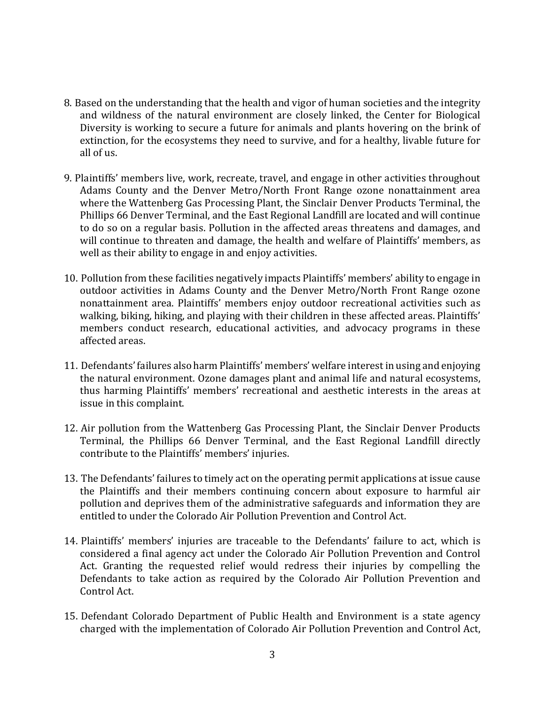- 8. Based on the understanding that the health and vigor of human societies and the integrity and wildness of the natural environment are closely linked, the Center for Biological Diversity is working to secure a future for animals and plants hovering on the brink of extinction, for the ecosystems they need to survive, and for a healthy, livable future for all of us.
- 9. Plaintiffs' members live, work, recreate, travel, and engage in other activities throughout Adams County and the Denver Metro/North Front Range ozone nonattainment area where the Wattenberg Gas Processing Plant, the Sinclair Denver Products Terminal, the Phillips 66 Denver Terminal, and the East Regional Landfill are located and will continue to do so on a regular basis. Pollution in the affected areas threatens and damages, and will continue to threaten and damage, the health and welfare of Plaintiffs' members, as well as their ability to engage in and enjoy activities.
- 10. Pollution from these facilities negatively impacts Plaintiffs' members' ability to engage in outdoor activities in Adams County and the Denver Metro/North Front Range ozone nonattainment area. Plaintiffs' members enjoy outdoor recreational activities such as walking, biking, hiking, and playing with their children in these affected areas. Plaintiffs' members conduct research, educational activities, and advocacy programs in these affected areas.
- 11. Defendants' failures also harm Plaintiffs' members' welfare interest in using and enjoying the natural environment. Ozone damages plant and animal life and natural ecosystems, thus harming Plaintiffs' members' recreational and aesthetic interests in the areas at issue in this complaint.
- 12. Air pollution from the Wattenberg Gas Processing Plant, the Sinclair Denver Products Terminal, the Phillips 66 Denver Terminal, and the East Regional Landfill directly contribute to the Plaintiffs' members' injuries.
- 13. The Defendants' failures to timely act on the operating permit applications at issue cause the Plaintiffs and their members continuing concern about exposure to harmful air pollution and deprives them of the administrative safeguards and information they are entitled to under the Colorado Air Pollution Prevention and Control Act.
- 14. Plaintiffs' members' injuries are traceable to the Defendants' failure to act, which is considered a final agency act under the Colorado Air Pollution Prevention and Control Act. Granting the requested relief would redress their injuries by compelling the Defendants to take action as required by the Colorado Air Pollution Prevention and Control Act.
- 15. Defendant Colorado Department of Public Health and Environment is a state agency charged with the implementation of Colorado Air Pollution Prevention and Control Act,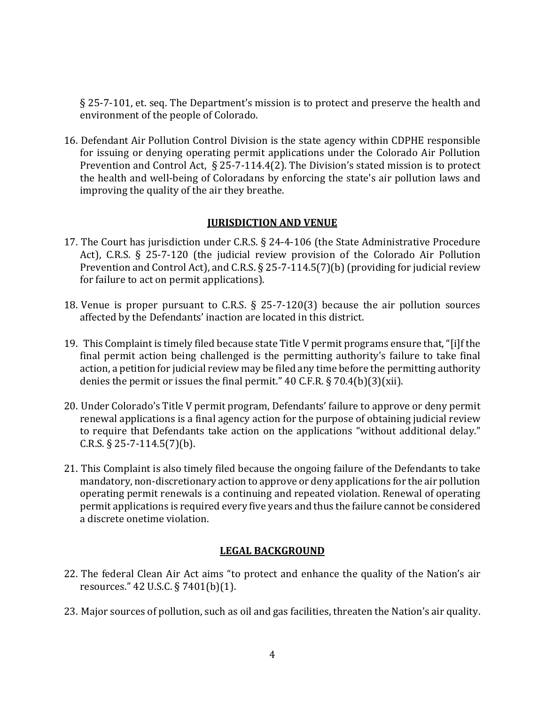§ 25-7-101, et. seq. The Department's mission is to protect and preserve the health and environment of the people of Colorado.

16. Defendant Air Pollution Control Division is the state agency within CDPHE responsible for issuing or denying operating permit applications under the Colorado Air Pollution Prevention and Control Act, § 25-7-114.4(2). The Division's stated mission is to protect the health and well-being of Coloradans by enforcing the state's air pollution laws and improving the quality of the air they breathe.

### **JURISDICTION AND VENUE**

- 17. The Court has jurisdiction under C.R.S. § 24-4-106 (the State Administrative Procedure Act), C.R.S. § 25-7-120 (the judicial review provision of the Colorado Air Pollution Prevention and Control Act), and C.R.S. § 25-7-114.5(7)(b) (providing for judicial review for failure to act on permit applications).
- 18. Venue is proper pursuant to C.R.S. § 25-7-120(3) because the air pollution sources affected by the Defendants' inaction are located in this district.
- 19. This Complaint is timely filed because state Title V permit programs ensure that, "[i]f the final permit action being challenged is the permitting authority's failure to take final action, a petition for judicial review may be filed any time before the permitting authority denies the permit or issues the final permit." 40 C.F.R. § 70.4(b)(3)(xii).
- 20. Under Colorado's Title V permit program, Defendants' failure to approve or deny permit renewal applications is a final agency action for the purpose of obtaining judicial review to require that Defendants take action on the applications "without additional delay."  $C.R.S.$  § 25-7-114.5(7)(b).
- 21. This Complaint is also timely filed because the ongoing failure of the Defendants to take mandatory, non-discretionary action to approve or deny applications for the air pollution operating permit renewals is a continuing and repeated violation. Renewal of operating permit applications is required every five years and thus the failure cannot be considered a discrete onetime violation.

# **LEGAL BACKGROUND**

- 22. The federal Clean Air Act aims "to protect and enhance the quality of the Nation's air resources." 42 U.S.C. § 7401(b)(1).
- 23. Major sources of pollution, such as oil and gas facilities, threaten the Nation's air quality.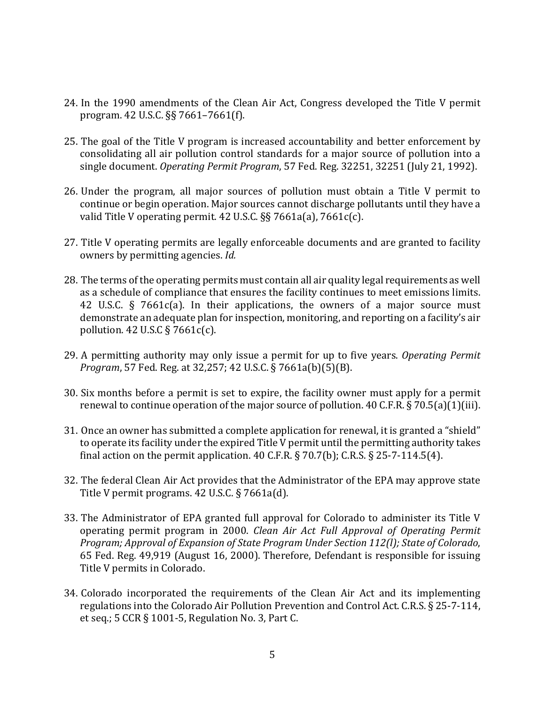- 24. In the 1990 amendments of the Clean Air Act, Congress developed the Title V permit program. 42 U.S.C. §§ 7661–7661(f).
- 25. The goal of the Title V program is increased accountability and better enforcement by consolidating all air pollution control standards for a major source of pollution into a single document. *Operating Permit Program*, 57 Fed. Reg. 32251, 32251 (July 21, 1992).
- 26. Under the program, all major sources of pollution must obtain a Title V permit to continue or begin operation. Major sources cannot discharge pollutants until they have a valid Title V operating permit. 42 U.S.C. §§ 7661a(a), 7661c(c).
- 27. Title V operating permits are legally enforceable documents and are granted to facility owners by permitting agencies. *Id.*
- 28. The terms of the operating permits must contain all air quality legal requirements as well as a schedule of compliance that ensures the facility continues to meet emissions limits. 42 U.S.C. § 7661c(a). In their applications, the owners of a major source must demonstrate an adequate plan for inspection, monitoring, and reporting on a facility's air pollution. 42 U.S.C § 7661c(c).
- 29. A permitting authority may only issue a permit for up to five years. *Operating Permit Program*, 57 Fed. Reg. at 32,257; 42 U.S.C. § 7661a(b)(5)(B).
- 30. Six months before a permit is set to expire, the facility owner must apply for a permit renewal to continue operation of the major source of pollution. 40 C.F.R. § 70.5(a)(1)(iii).
- 31. Once an owner has submitted a complete application for renewal, it is granted a "shield" to operate its facility under the expired Title V permit until the permitting authority takes final action on the permit application. 40 C.F.R. § 70.7(b); C.R.S. § 25-7-114.5(4).
- 32. The federal Clean Air Act provides that the Administrator of the EPA may approve state Title V permit programs. 42 U.S.C. § 7661a(d).
- 33. The Administrator of EPA granted full approval for Colorado to administer its Title V operating permit program in 2000. *Clean Air Act Full Approval of Operating Permit Program; Approval of Expansion of State Program Under Section 112(l); State of Colorado*, 65 Fed. Reg. 49,919 (August 16, 2000). Therefore, Defendant is responsible for issuing Title V permits in Colorado.
- 34. Colorado incorporated the requirements of the Clean Air Act and its implementing regulations into the Colorado Air Pollution Prevention and Control Act. C.R.S. § 25-7-114, et seq.; 5 CCR § 1001-5, Regulation No. 3, Part C.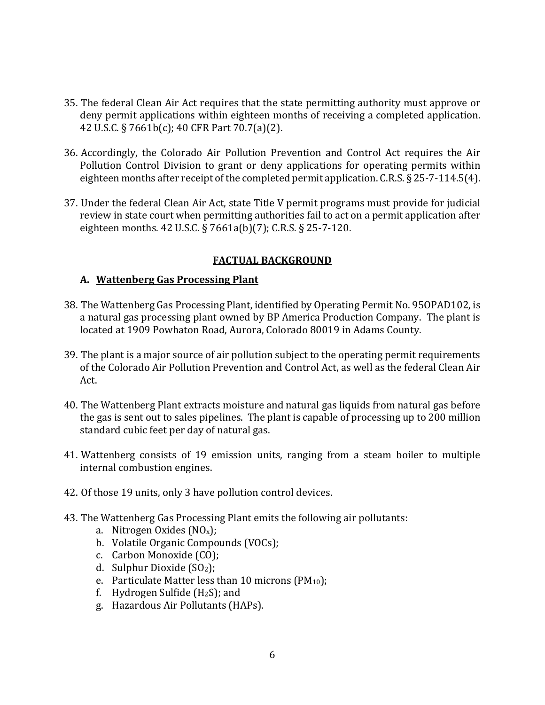- 35. The federal Clean Air Act requires that the state permitting authority must approve or deny permit applications within eighteen months of receiving a completed application. 42 U.S.C. § 7661b(c); 40 CFR Part 70.7(a)(2).
- 36. Accordingly, the Colorado Air Pollution Prevention and Control Act requires the Air Pollution Control Division to grant or deny applications for operating permits within eighteen months after receipt of the completed permit application. C.R.S. § 25-7-114.5(4).
- 37. Under the federal Clean Air Act, state Title V permit programs must provide for judicial review in state court when permitting authorities fail to act on a permit application after eighteen months. 42 U.S.C. § 7661a(b)(7); C.R.S. § 25-7-120.

# **FACTUAL BACKGROUND**

## **A. Wattenberg Gas Processing Plant**

- 38. The Wattenberg Gas Processing Plant, identified by Operating Permit No. 95OPAD102, is a natural gas processing plant owned by BP America Production Company. The plant is located at 1909 Powhaton Road, Aurora, Colorado 80019 in Adams County.
- 39. The plant is a major source of air pollution subject to the operating permit requirements of the Colorado Air Pollution Prevention and Control Act, as well as the federal Clean Air Act.
- 40. The Wattenberg Plant extracts moisture and natural gas liquids from natural gas before the gas is sent out to sales pipelines. The plant is capable of processing up to 200 million standard cubic feet per day of natural gas.
- 41. Wattenberg consists of 19 emission units, ranging from a steam boiler to multiple internal combustion engines.
- 42. Of those 19 units, only 3 have pollution control devices.
- 43. The Wattenberg Gas Processing Plant emits the following air pollutants:
	- a. Nitrogen Oxides  $(NO<sub>x</sub>)$ ;
	- b. Volatile Organic Compounds (VOCs);
	- c. Carbon Monoxide (CO);
	- d. Sulphur Dioxide (SO2);
	- e. Particulate Matter less than 10 microns ( $PM_{10}$ );
	- f. Hydrogen Sulfide  $(H_2S)$ ; and
	- g. Hazardous Air Pollutants (HAPs).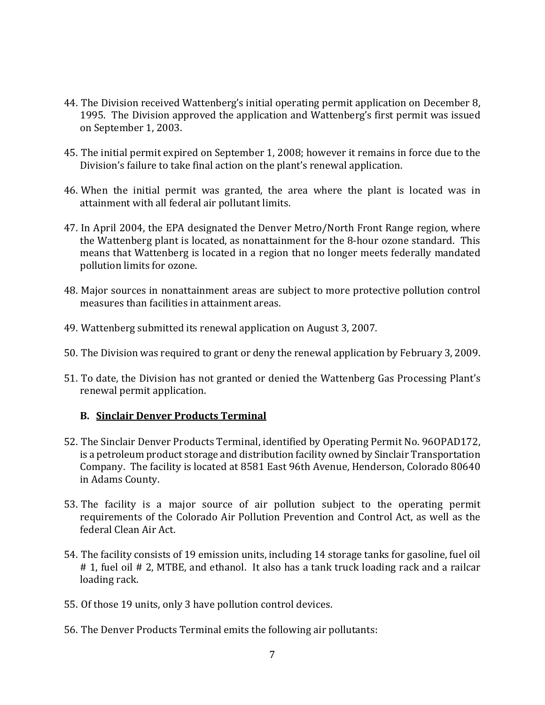- 44. The Division received Wattenberg's initial operating permit application on December 8, 1995. The Division approved the application and Wattenberg's first permit was issued on September 1, 2003.
- 45. The initial permit expired on September 1, 2008; however it remains in force due to the Division's failure to take final action on the plant's renewal application.
- 46. When the initial permit was granted, the area where the plant is located was in attainment with all federal air pollutant limits.
- 47. In April 2004, the EPA designated the Denver Metro/North Front Range region, where the Wattenberg plant is located, as nonattainment for the 8-hour ozone standard. This means that Wattenberg is located in a region that no longer meets federally mandated pollution limits for ozone.
- 48. Major sources in nonattainment areas are subject to more protective pollution control measures than facilities in attainment areas.
- 49. Wattenberg submitted its renewal application on August 3, 2007.
- 50. The Division was required to grant or deny the renewal application by February 3, 2009.
- 51. To date, the Division has not granted or denied the Wattenberg Gas Processing Plant's renewal permit application.

### **B. Sinclair Denver Products Terminal**

- 52. The Sinclair Denver Products Terminal, identified by Operating Permit No. 96OPAD172, is a petroleum product storage and distribution facility owned by Sinclair Transportation Company. The facility is located at 8581 East 96th Avenue, Henderson, Colorado 80640 in Adams County.
- 53. The facility is a major source of air pollution subject to the operating permit requirements of the Colorado Air Pollution Prevention and Control Act, as well as the federal Clean Air Act.
- 54. The facility consists of 19 emission units, including 14 storage tanks for gasoline, fuel oil # 1, fuel oil # 2, MTBE, and ethanol. It also has a tank truck loading rack and a railcar loading rack.
- 55. Of those 19 units, only 3 have pollution control devices.
- 56. The Denver Products Terminal emits the following air pollutants: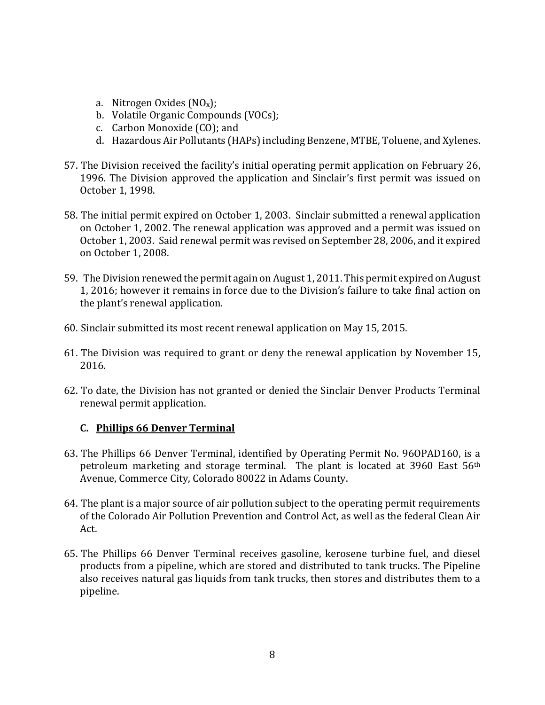- a. Nitrogen Oxides  $(NO<sub>x</sub>)$ ;
- b. Volatile Organic Compounds (VOCs);
- c. Carbon Monoxide (CO); and
- d. Hazardous Air Pollutants (HAPs) including Benzene, MTBE, Toluene, and Xylenes.
- 57. The Division received the facility's initial operating permit application on February 26, 1996. The Division approved the application and Sinclair's first permit was issued on October 1, 1998.
- 58. The initial permit expired on October 1, 2003. Sinclair submitted a renewal application on October 1, 2002. The renewal application was approved and a permit was issued on October 1, 2003. Said renewal permit was revised on September 28, 2006, and it expired on October 1, 2008.
- 59. The Division renewed the permit again on August 1, 2011. This permit expired on August 1, 2016; however it remains in force due to the Division's failure to take final action on the plant's renewal application.
- 60. Sinclair submitted its most recent renewal application on May 15, 2015.
- 61. The Division was required to grant or deny the renewal application by November 15, 2016.
- 62. To date, the Division has not granted or denied the Sinclair Denver Products Terminal renewal permit application.

### **C. Phillips 66 Denver Terminal**

- 63. The Phillips 66 Denver Terminal, identified by Operating Permit No. 96OPAD160, is a petroleum marketing and storage terminal. The plant is located at 3960 East 56th Avenue, Commerce City, Colorado 80022 in Adams County.
- 64. The plant is a major source of air pollution subject to the operating permit requirements of the Colorado Air Pollution Prevention and Control Act, as well as the federal Clean Air Act.
- 65. The Phillips 66 Denver Terminal receives gasoline, kerosene turbine fuel, and diesel products from a pipeline, which are stored and distributed to tank trucks. The Pipeline also receives natural gas liquids from tank trucks, then stores and distributes them to a pipeline.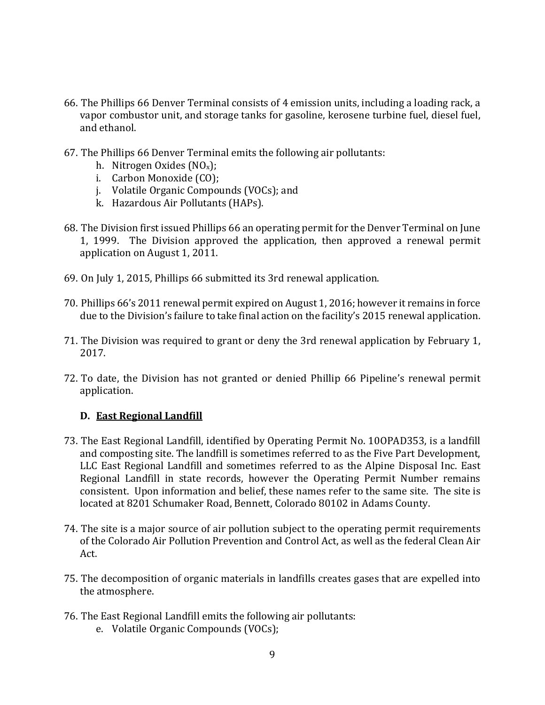- 66. The Phillips 66 Denver Terminal consists of 4 emission units, including a loading rack, a vapor combustor unit, and storage tanks for gasoline, kerosene turbine fuel, diesel fuel, and ethanol.
- 67. The Phillips 66 Denver Terminal emits the following air pollutants:
	- h. Nitrogen Oxides (NOx);
	- i. Carbon Monoxide (CO);
	- j. Volatile Organic Compounds (VOCs); and
	- k. Hazardous Air Pollutants (HAPs).
- 68. The Division first issued Phillips 66 an operating permit for the Denver Terminal on June 1, 1999. The Division approved the application, then approved a renewal permit application on August 1, 2011.
- 69. On July 1, 2015, Phillips 66 submitted its 3rd renewal application.
- 70. Phillips 66's 2011 renewal permit expired on August 1, 2016; however it remains in force due to the Division's failure to take final action on the facility's 2015 renewal application.
- 71. The Division was required to grant or deny the 3rd renewal application by February 1, 2017.
- 72. To date, the Division has not granted or denied Phillip 66 Pipeline's renewal permit application.

### **D. East Regional Landfill**

- 73. The East Regional Landfill, identified by Operating Permit No. 10OPAD353, is a landfill and composting site. The landfill is sometimes referred to as the Five Part Development, LLC East Regional Landfill and sometimes referred to as the Alpine Disposal Inc. East Regional Landfill in state records, however the Operating Permit Number remains consistent. Upon information and belief, these names refer to the same site. The site is located at 8201 Schumaker Road, Bennett, Colorado 80102 in Adams County.
- 74. The site is a major source of air pollution subject to the operating permit requirements of the Colorado Air Pollution Prevention and Control Act, as well as the federal Clean Air Act.
- 75. The decomposition of organic materials in landfills creates gases that are expelled into the atmosphere.
- 76. The East Regional Landfill emits the following air pollutants:
	- e. Volatile Organic Compounds (VOCs);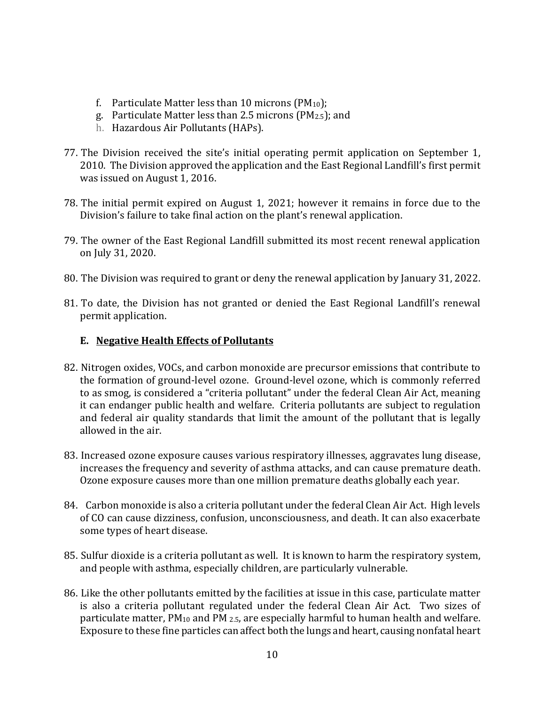- f. Particulate Matter less than 10 microns ( $PM_{10}$ );
- g. Particulate Matter less than 2.5 microns (PM2.5); and
- h. Hazardous Air Pollutants (HAPs).
- 77. The Division received the site's initial operating permit application on September 1, 2010. The Division approved the application and the East Regional Landfill's first permit was issued on August 1, 2016.
- 78. The initial permit expired on August 1, 2021; however it remains in force due to the Division's failure to take final action on the plant's renewal application.
- 79. The owner of the East Regional Landfill submitted its most recent renewal application on July 31, 2020.
- 80. The Division was required to grant or deny the renewal application by January 31, 2022.
- 81. To date, the Division has not granted or denied the East Regional Landfill's renewal permit application.

## **E. Negative Health Effects of Pollutants**

- 82. Nitrogen oxides, VOCs, and carbon monoxide are precursor emissions that contribute to the formation of ground-level ozone. Ground-level ozone, which is commonly referred to as smog, is considered a "criteria pollutant" under the federal Clean Air Act, meaning it can endanger public health and welfare. Criteria pollutants are subject to regulation and federal air quality standards that limit the amount of the pollutant that is legally allowed in the air.
- 83. Increased ozone exposure causes various respiratory illnesses, aggravates lung disease, increases the frequency and severity of asthma attacks, and can cause premature death. Ozone exposure causes more than one million premature deaths globally each year.
- 84. Carbon monoxide is also a criteria pollutant under the federal Clean Air Act. High levels of CO can cause dizziness, confusion, unconsciousness, and death. It can also exacerbate some types of heart disease.
- 85. Sulfur dioxide is a criteria pollutant as well. It is known to harm the respiratory system, and people with asthma, especially children, are particularly vulnerable.
- 86. Like the other pollutants emitted by the facilities at issue in this case, particulate matter is also a criteria pollutant regulated under the federal Clean Air Act. Two sizes of particulate matter, PM10 and PM 2.5, are especially harmful to human health and welfare. Exposure to these fine particles can affect both the lungs and heart, causing nonfatal heart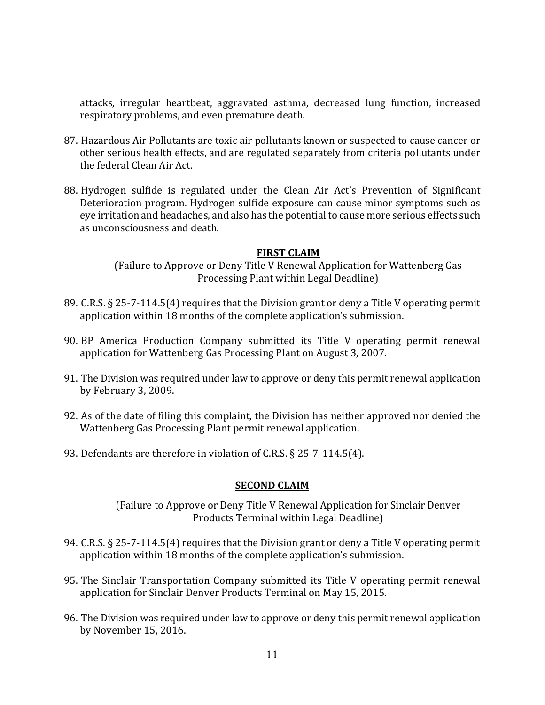attacks, irregular heartbeat, aggravated asthma, decreased lung function, increased respiratory problems, and even premature death.

- 87. Hazardous Air Pollutants are toxic air pollutants known or suspected to cause cancer or other serious health effects, and are regulated separately from criteria pollutants under the federal Clean Air Act.
- 88. Hydrogen sulfide is regulated under the Clean Air Act's Prevention of Significant Deterioration program. Hydrogen sulfide exposure can cause minor symptoms such as eye irritation and headaches, and also has the potential to cause more serious effects such as unconsciousness and death.

#### **FIRST CLAIM**

(Failure to Approve or Deny Title V Renewal Application for Wattenberg Gas Processing Plant within Legal Deadline)

- 89. C.R.S. § 25-7-114.5(4) requires that the Division grant or deny a Title V operating permit application within 18 months of the complete application's submission.
- 90. BP America Production Company submitted its Title V operating permit renewal application for Wattenberg Gas Processing Plant on August 3, 2007.
- 91. The Division was required under law to approve or deny this permit renewal application by February 3, 2009.
- 92. As of the date of filing this complaint, the Division has neither approved nor denied the Wattenberg Gas Processing Plant permit renewal application.
- 93. Defendants are therefore in violation of C.R.S. § 25-7-114.5(4).

#### **SECOND CLAIM**

(Failure to Approve or Deny Title V Renewal Application for Sinclair Denver Products Terminal within Legal Deadline)

- 94. C.R.S. § 25-7-114.5(4) requires that the Division grant or deny a Title V operating permit application within 18 months of the complete application's submission.
- 95. The Sinclair Transportation Company submitted its Title V operating permit renewal application for Sinclair Denver Products Terminal on May 15, 2015.
- 96. The Division was required under law to approve or deny this permit renewal application by November 15, 2016.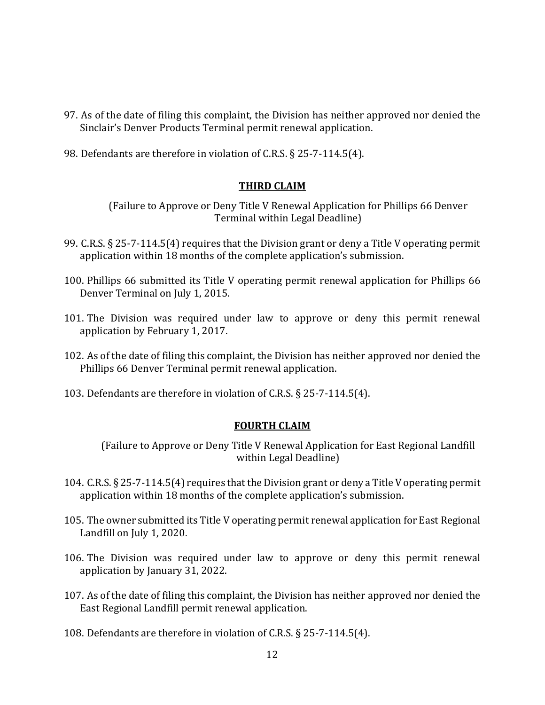- 97. As of the date of filing this complaint, the Division has neither approved nor denied the Sinclair's Denver Products Terminal permit renewal application.
- 98. Defendants are therefore in violation of C.R.S. § 25-7-114.5(4).

#### **THIRD CLAIM**

(Failure to Approve or Deny Title V Renewal Application for Phillips 66 Denver Terminal within Legal Deadline)

- 99. C.R.S. § 25-7-114.5(4) requires that the Division grant or deny a Title V operating permit application within 18 months of the complete application's submission.
- 100. Phillips 66 submitted its Title V operating permit renewal application for Phillips 66 Denver Terminal on July 1, 2015.
- 101. The Division was required under law to approve or deny this permit renewal application by February 1, 2017.
- 102. As of the date of filing this complaint, the Division has neither approved nor denied the Phillips 66 Denver Terminal permit renewal application.
- 103. Defendants are therefore in violation of C.R.S. § 25-7-114.5(4).

### **FOURTH CLAIM**

(Failure to Approve or Deny Title V Renewal Application for East Regional Landfill within Legal Deadline)

- 104. C.R.S. § 25-7-114.5(4) requires that the Division grant or deny a Title V operating permit application within 18 months of the complete application's submission.
- 105. The owner submitted its Title V operating permit renewal application for East Regional Landfill on July 1, 2020.
- 106. The Division was required under law to approve or deny this permit renewal application by January 31, 2022.
- 107. As of the date of filing this complaint, the Division has neither approved nor denied the East Regional Landfill permit renewal application.
- 108. Defendants are therefore in violation of C.R.S. § 25-7-114.5(4).